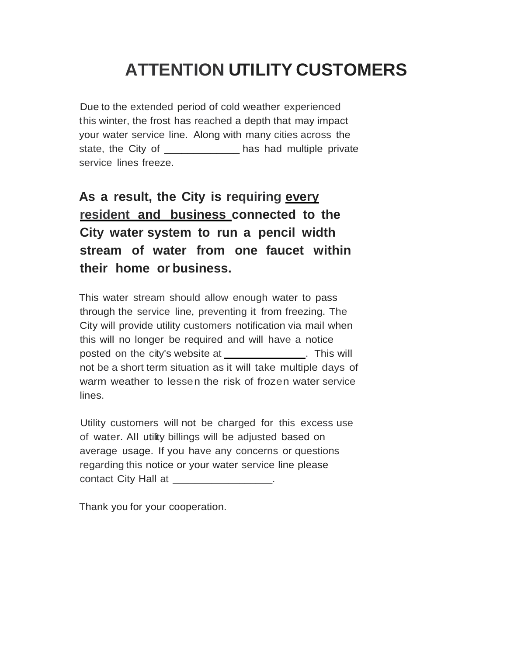## **ATTENTION UTILITY CUSTOMERS**

Due to the extended period of cold weather experienced this winter, the frost has reached a depth that may impact your water service line. Along with many cities across the state, the City of \_\_\_\_\_\_\_\_\_\_\_\_\_\_ has had multiple private service lines freeze.

## **As a result, the City is requiring every resident and business connected to the City water system to run a pencil width stream of water from one faucet within their home or business.**

This water stream should allow enough water to pass through the service line, preventing it from freezing. The City will provide utility customers notification via mail when this will no longer be required and will have a notice posted on the city's website at \_\_\_\_\_\_\_\_\_\_\_\_\_\_. This will not be a short term situation as it will take multiple days of warm weather to lessen the risk of frozen water service lines.

Utility customers will not be charged for this excess use of water. All utility billings will be adjusted based on average usage. If you have any concerns or questions regarding this notice or your water service line please contact City Hall at

Thank you for your cooperation.